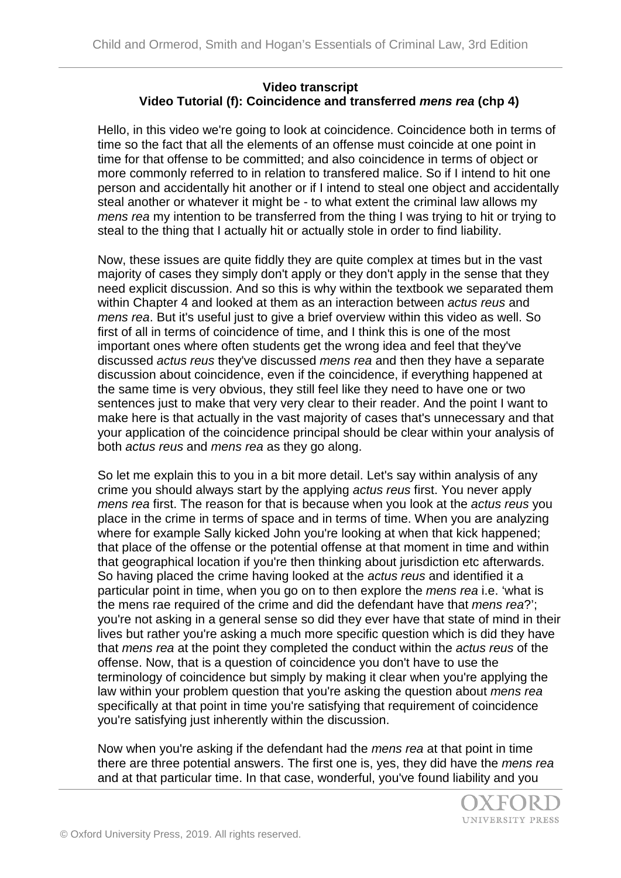## **Video transcript Video Tutorial (f): Coincidence and transferred** *mens rea* **(chp 4)**

Hello, in this video we're going to look at coincidence. Coincidence both in terms of time so the fact that all the elements of an offense must coincide at one point in time for that offense to be committed; and also coincidence in terms of object or more commonly referred to in relation to transfered malice. So if I intend to hit one person and accidentally hit another or if I intend to steal one object and accidentally steal another or whatever it might be - to what extent the criminal law allows my *mens rea* my intention to be transferred from the thing I was trying to hit or trying to steal to the thing that I actually hit or actually stole in order to find liability.

Now, these issues are quite fiddly they are quite complex at times but in the vast majority of cases they simply don't apply or they don't apply in the sense that they need explicit discussion. And so this is why within the textbook we separated them within Chapter 4 and looked at them as an interaction between *actus reus* and *mens rea*. But it's useful just to give a brief overview within this video as well. So first of all in terms of coincidence of time, and I think this is one of the most important ones where often students get the wrong idea and feel that they've discussed *actus reus* they've discussed *mens rea* and then they have a separate discussion about coincidence, even if the coincidence, if everything happened at the same time is very obvious, they still feel like they need to have one or two sentences just to make that very very clear to their reader. And the point I want to make here is that actually in the vast majority of cases that's unnecessary and that your application of the coincidence principal should be clear within your analysis of both *actus reus* and *mens rea* as they go along.

So let me explain this to you in a bit more detail. Let's say within analysis of any crime you should always start by the applying *actus reus* first. You never apply *mens rea* first. The reason for that is because when you look at the *actus reus* you place in the crime in terms of space and in terms of time. When you are analyzing where for example Sally kicked John you're looking at when that kick happened; that place of the offense or the potential offense at that moment in time and within that geographical location if you're then thinking about jurisdiction etc afterwards. So having placed the crime having looked at the *actus reus* and identified it a particular point in time, when you go on to then explore the *mens rea* i.e. 'what is the mens rae required of the crime and did the defendant have that *mens rea*?'; you're not asking in a general sense so did they ever have that state of mind in their lives but rather you're asking a much more specific question which is did they have that *mens rea* at the point they completed the conduct within the *actus reus* of the offense. Now, that is a question of coincidence you don't have to use the terminology of coincidence but simply by making it clear when you're applying the law within your problem question that you're asking the question about *mens rea* specifically at that point in time you're satisfying that requirement of coincidence you're satisfying just inherently within the discussion.

Now when you're asking if the defendant had the *mens rea* at that point in time there are three potential answers. The first one is, yes, they did have the *mens rea* and at that particular time. In that case, wonderful, you've found liability and you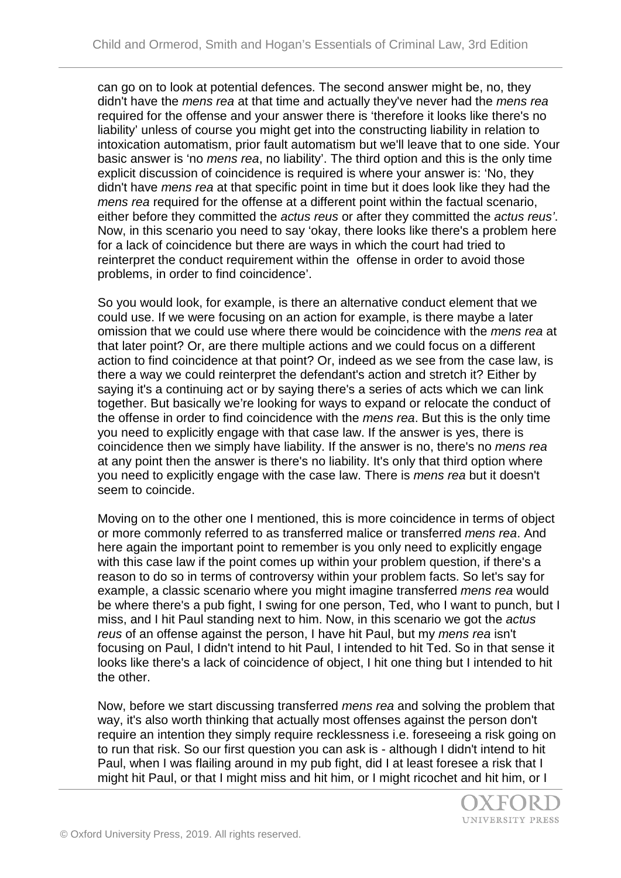can go on to look at potential defences. The second answer might be, no, they didn't have the *mens rea* at that time and actually they've never had the *mens rea* required for the offense and your answer there is 'therefore it looks like there's no liability' unless of course you might get into the constructing liability in relation to intoxication automatism, prior fault automatism but we'll leave that to one side. Your basic answer is 'no *mens rea*, no liability'. The third option and this is the only time explicit discussion of coincidence is required is where your answer is: 'No, they didn't have *mens rea* at that specific point in time but it does look like they had the *mens rea* required for the offense at a different point within the factual scenario, either before they committed the *actus reus* or after they committed the *actus reus'*. Now, in this scenario you need to say 'okay, there looks like there's a problem here for a lack of coincidence but there are ways in which the court had tried to reinterpret the conduct requirement within the offense in order to avoid those problems, in order to find coincidence'.

So you would look, for example, is there an alternative conduct element that we could use. If we were focusing on an action for example, is there maybe a later omission that we could use where there would be coincidence with the *mens rea* at that later point? Or, are there multiple actions and we could focus on a different action to find coincidence at that point? Or, indeed as we see from the case law, is there a way we could reinterpret the defendant's action and stretch it? Either by saying it's a continuing act or by saying there's a series of acts which we can link together. But basically we're looking for ways to expand or relocate the conduct of the offense in order to find coincidence with the *mens rea*. But this is the only time you need to explicitly engage with that case law. If the answer is yes, there is coincidence then we simply have liability. If the answer is no, there's no *mens rea* at any point then the answer is there's no liability. It's only that third option where you need to explicitly engage with the case law. There is *mens rea* but it doesn't seem to coincide.

Moving on to the other one I mentioned, this is more coincidence in terms of object or more commonly referred to as transferred malice or transferred *mens rea*. And here again the important point to remember is you only need to explicitly engage with this case law if the point comes up within your problem question, if there's a reason to do so in terms of controversy within your problem facts. So let's say for example, a classic scenario where you might imagine transferred *mens rea* would be where there's a pub fight, I swing for one person, Ted, who I want to punch, but I miss, and I hit Paul standing next to him. Now, in this scenario we got the *actus reus* of an offense against the person, I have hit Paul, but my *mens rea* isn't focusing on Paul, I didn't intend to hit Paul, I intended to hit Ted. So in that sense it looks like there's a lack of coincidence of object, I hit one thing but I intended to hit the other.

Now, before we start discussing transferred *mens rea* and solving the problem that way, it's also worth thinking that actually most offenses against the person don't require an intention they simply require recklessness i.e. foreseeing a risk going on to run that risk. So our first question you can ask is - although I didn't intend to hit Paul, when I was flailing around in my pub fight, did I at least foresee a risk that I might hit Paul, or that I might miss and hit him, or I might ricochet and hit him, or I